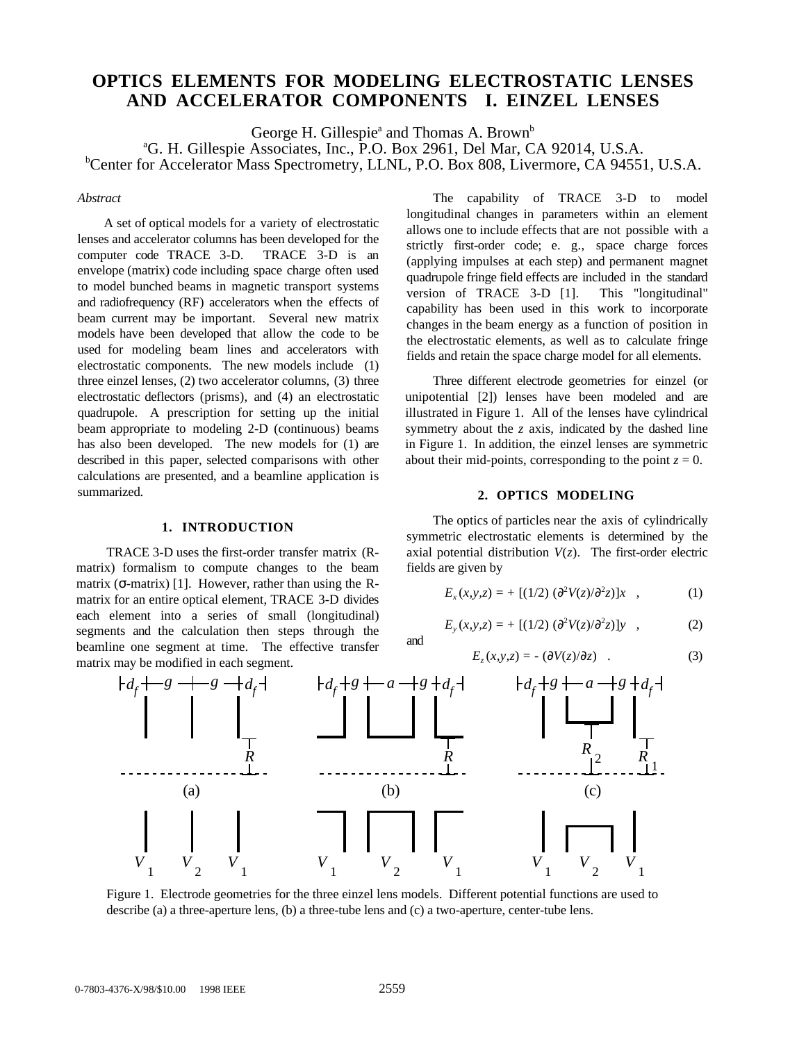# **OPTICS ELEMENTS FOR MODELING ELECTROSTATIC LENSES AND ACCELERATOR COMPONENTS I. EINZEL LENSES**

George H. Gillespie<sup>ª</sup> and Thomas A. Brown<sup>b</sup>

<sup>a</sup>G. H. Gillespie Associates, Inc., P.O. Box 2961, Del Mar, CA 92014, U.S.A. Center for Accelerator Mass Spectrometry, LLNL, P.O. Box 808, Livermore, CA 94551, U.S.A.

#### *Abstract*

A set of optical models for a variety of electrostatic lenses and accelerator columns has been developed for the computer code TRACE 3-D. TRACE 3-D is an envelope (matrix) code including space charge often used to model bunched beams in magnetic transport systems and radiofrequency (RF) accelerators when the effects of beam current may be important. Several new matrix models have been developed that allow the code to be used for modeling beam lines and accelerators with electrostatic components. The new models include (1) three einzel lenses, (2) two accelerator columns, (3) three electrostatic deflectors (prisms), and (4) an electrostatic quadrupole. A prescription for setting up the initial beam appropriate to modeling 2-D (continuous) beams has also been developed. The new models for (1) are described in this paper, selected comparisons with other calculations are presented, and a beamline application is summarized.

#### **1. INTRODUCTION**

TRACE 3-D uses the first-order transfer matrix (Rmatrix) formalism to compute changes to the beam matrix ( $\sigma$ -matrix) [1]. However, rather than using the Rmatrix for an entire optical element, TRACE 3-D divides each element into a series of small (longitudinal) segments and the calculation then steps through the beamline one segment at time. The effective transfer matrix may be modified in each segment.

The capability of TRACE 3-D to model longitudinal changes in parameters within an element allows one to include effects that are not possible with a strictly first-order code; e. g., space charge forces (applying impulses at each step) and permanent magnet quadrupole fringe field effects are included in the standard version of TRACE 3-D [1]. This "longitudinal" capability has been used in this work to incorporate changes in the beam energy as a function of position in the electrostatic elements, as well as to calculate fringe fields and retain the space charge model for all elements.

Three different electrode geometries for einzel (or unipotential [2]) lenses have been modeled and are illustrated in Figure 1. All of the lenses have cylindrical symmetry about the *z* axis, indicated by the dashed line in Figure 1. In addition, the einzel lenses are symmetric about their mid-points, corresponding to the point  $z = 0$ .

# **2. OPTICS MODELING**

The optics of particles near the axis of cylindrically symmetric electrostatic elements is determined by the axial potential distribution  $V(z)$ . The first-order electric fields are given by

$$
E_x(x, y, z) = + [(1/2) (\partial^2 V(z)/\partial^2 z)]x , \qquad (1)
$$

$$
E_y(x, y, z) = + [(1/2) (\partial^2 V(z) / \partial^2 z)]y , \qquad (2)
$$

$$
E_z(x, y, z) = -(\partial V(z)/\partial z) \quad . \tag{3}
$$



Figure 1. Electrode geometries for the three einzel lens models. Different potential functions are used to describe (a) a three-aperture lens, (b) a three-tube lens and (c) a two-aperture, center-tube lens.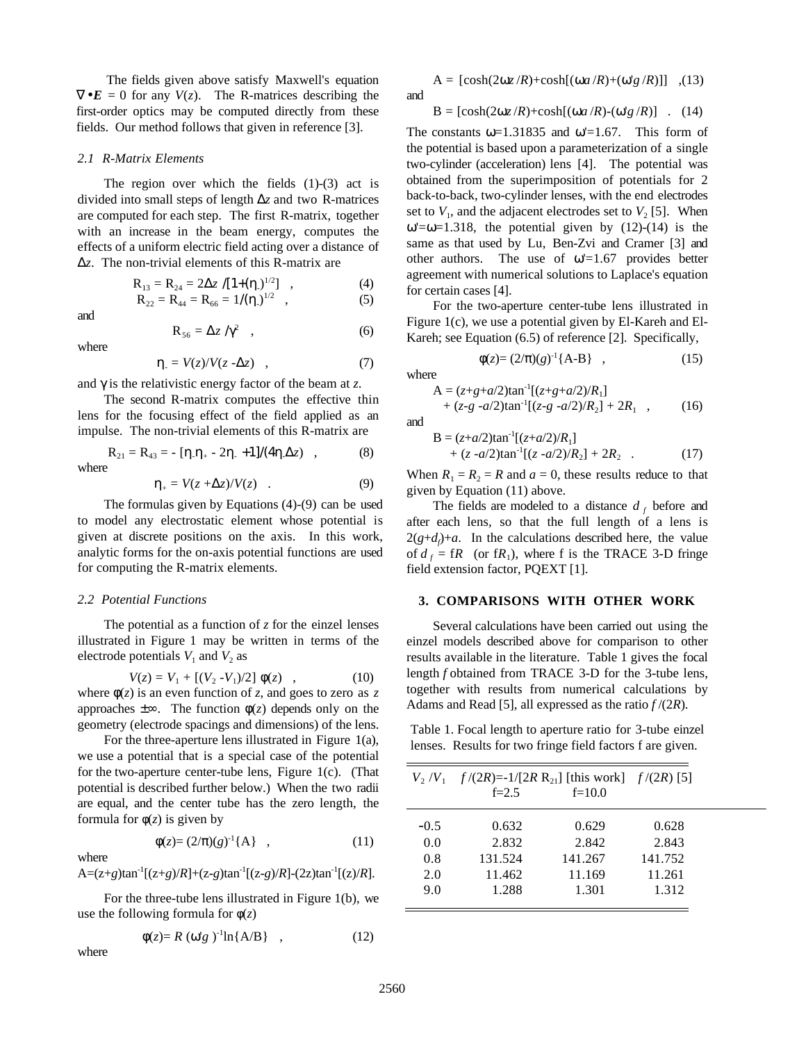The fields given above satisfy Maxwell's equation  $\nabla \cdot \mathbf{E} = 0$  for any  $V(z)$ . The R-matrices describing the first-order optics may be computed directly from these fields. Our method follows that given in reference [3].

#### *2.1 R-Matrix Elements*

The region over which the fields  $(1)-(3)$  act is divided into small steps of length ∆*z* and two R-matrices are computed for each step. The first R-matrix, together with an increase in the beam energy, computes the effects of a uniform electric field acting over a distance of ∆*z*. The non-trivial elements of this R-matrix are

$$
R_{13} = R_{24} = 2\Delta z / [1 + (\eta_{\cdot})_{\cdot}^{1/2}] , \qquad (4)
$$

$$
R_{22} = R_{44} = R_{66} = 1/(\eta_{-})^{1/2} \quad , \tag{5}
$$

and

$$
R_{56} = \Delta z / \gamma^2 \quad , \tag{6}
$$

where

$$
\eta_{.} = V(z)/V(z - \Delta z) \quad , \tag{7}
$$

and γ is the relativistic energy factor of the beam at *z*.

The second R-matrix computes the effective thin lens for the focusing effect of the field applied as an impulse. The non-trivial elements of this R-matrix are

$$
R_{21} = R_{43} = -[\eta_{.}\eta_{+} - 2\eta_{.} + 1]/(4\eta_{.}\Delta z) , \qquad (8)
$$
 where

$$
\eta_+ = V(z + \Delta z) / V(z) \quad . \tag{9}
$$

The formulas given by Equations (4)-(9) can be used to model any electrostatic element whose potential is given at discrete positions on the axis. In this work, analytic forms for the on-axis potential functions are used for computing the R-matrix elements.

#### *2.2 Potential Functions*

The potential as a function of *z* for the einzel lenses illustrated in Figure 1 may be written in terms of the electrode potentials  $V_1$  and  $V_2$  as

$$
V(z) = V_1 + [(V_2 - V_1)/2] \phi(z) , \qquad (10)
$$

where  $\phi(z)$  is an even function of *z*, and goes to zero as *z* approaches  $\pm \infty$ . The function  $\phi(z)$  depends only on the geometry (electrode spacings and dimensions) of the lens.

For the three-aperture lens illustrated in Figure 1(a), we use a potential that is a special case of the potential for the two-aperture center-tube lens, Figure 1(c). (That potential is described further below.) When the two radii are equal, and the center tube has the zero length, the formula for  $\phi(z)$  is given by

$$
\phi(z) = (2/\pi)(g)^{-1}\{A\} \quad , \tag{11}
$$

where

 $A=(z+g)tan^{-1}[(z+g)/R]+(z-g)tan^{-1}[(z-g)/R]-(2z)tan^{-1}[(z)/R]$ .

For the three-tube lens illustrated in Figure 1(b), we use the following formula for φ(*z*)

$$
\phi(z) = R \left( \omega' g \right)^{-1} \ln \{ A/B \} , \qquad (12)
$$

where

 $A = [\cosh(2\omega z/R) + \cosh[(\omega a/R) + (\omega'g/R)]]$  ,(13) and

 $B = [\cosh(2\omega z/R) + \cosh[(\omega a/R) - (\omega'g/R)]$  . (14)

The constants  $\omega$ =1.31835 and  $\omega$ '=1.67. This form of the potential is based upon a parameterization of a single two-cylinder (acceleration) lens [4]. The potential was obtained from the superimposition of potentials for 2 back-to-back, two-cylinder lenses, with the end electrodes set to  $V_1$ , and the adjacent electrodes set to  $V_2$  [5]. When  $\omega$ '= $\omega$ =1.318, the potential given by (12)-(14) is the same as that used by Lu, Ben-Zvi and Cramer [3] and other authors. The use of  $\omega$ =1.67 provides better agreement with numerical solutions to Laplace's equation for certain cases [4].

For the two-aperture center-tube lens illustrated in Figure 1(c), we use a potential given by El-Kareh and El-Kareh; see Equation (6.5) of reference [2]. Specifically,

$$
\phi(z) = (2/\pi)(g)^{-1}\{A - B\} \quad , \tag{15}
$$

where

and

$$
A = (z+g+a/2)\tan^{-1}[(z+g+a/2)/R_1] + (z-g-a/2)\tan^{-1}[(z-g-a/2)/R_2] + 2R_1 ,
$$
 (16)

$$
B = (z+a/2)\tan^{-1}[(z+a/2)/R_1] + (z-a/2)\tan^{-1}[(z-a/2)/R_2] + 2R_2
$$
 (17)

When  $R_1 = R_2 = R$  and  $a = 0$ , these results reduce to that given by Equation (11) above.

The fields are modeled to a distance  $d_f$  before and after each lens, so that the full length of a lens is  $2(g+d) + a$ . In the calculations described here, the value of  $d_f = fR$  (or  $fR_1$ ), where f is the TRACE 3-D fringe field extension factor, PQEXT [1].

#### **3. COMPARISONS WITH OTHER WORK**

Several calculations have been carried out using the einzel models described above for comparison to other results available in the literature. Table 1 gives the focal length *f* obtained from TRACE 3-D for the 3-tube lens, together with results from numerical calculations by Adams and Read [5], all expressed as the ratio *f* /(2*R*).

Table 1. Focal length to aperture ratio for 3-tube einzel lenses. Results for two fringe field factors f are given.

|        | $V_2/V_1$ f/(2R)=-1/[2R R <sub>21</sub> ] [this work] f/(2R) [5] |          |         |
|--------|------------------------------------------------------------------|----------|---------|
|        | $f = 2.5$                                                        | $f=10.0$ |         |
| $-0.5$ | 0.632                                                            | 0.629    | 0.628   |
| 0.0    | 2.832                                                            | 2.842    | 2.843   |
| 0.8    | 131.524                                                          | 141.267  | 141.752 |
| 2.0    | 11.462                                                           | 11.169   | 11.261  |
| 9.0    | 1.288                                                            | 1.301    | 1.312   |